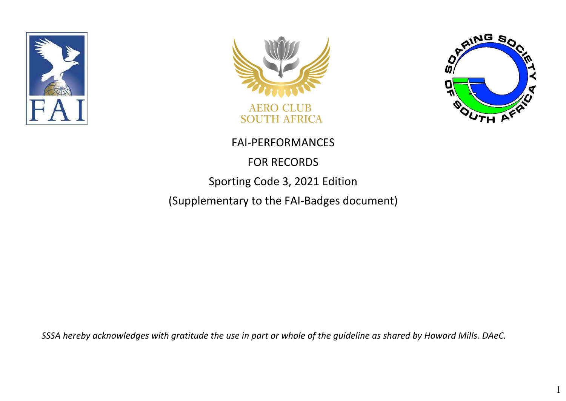





1

#### FAI-PERFORMANCES

#### FOR RECORDS

#### Sporting Code 3, 2021 Edition

(Supplementary to the FAI-Badges document)

*SSSA hereby acknowledges with gratitude the use in part or whole of the guideline as shared by Howard Mills. DAeC.*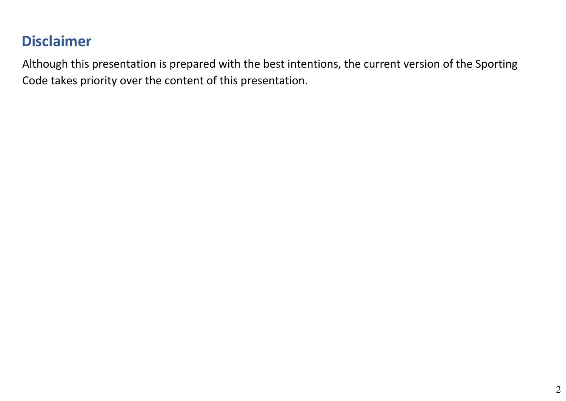## **Disclaimer**

Although this presentation is prepared with the best intentions, the current version of the Sporting Code takes priority over the content of this presentation.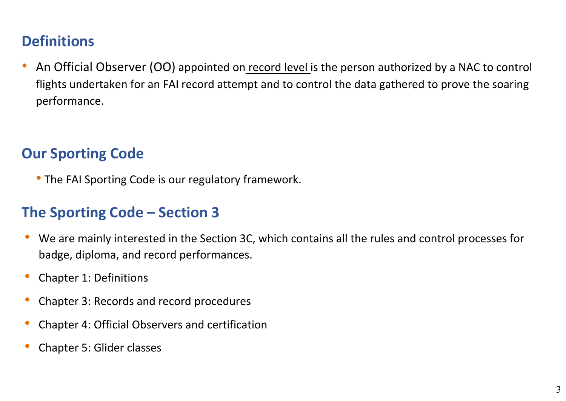## **Definitions**

An Official Observer (OO) appointed on record level is the person authorized by a NAC to control flights undertaken for an FAI record attempt and to control the data gathered to prove the soaring performance.

#### **Our Sporting Code**

• The FAI Sporting Code is our regulatory framework.

#### **The Sporting Code – Section 3**

- We are mainly interested in the Section 3C, which contains all the rules and control processes for badge, diploma, and record performances.
- Chapter 1: Definitions
- Chapter 3: Records and record procedures
- Chapter 4: Official Observers and certification
- Chapter 5: Glider classes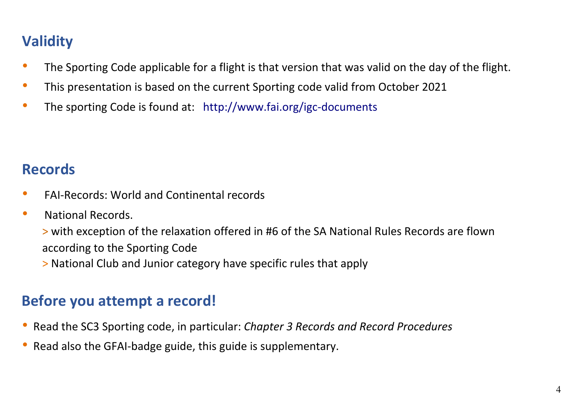## **Validity**

- The Sporting Code applicable for a flight is that version that was valid on the day of the flight.
- This presentation is based on the current Sporting code valid from October 2021
- The sporting Code is found at: http://www.fai.org/igc-documents

## **Records**

- FAI-Records: World and Continental records
- National Records.

> with exception of the relaxation offered in #6 of the SA National Rules Records are flown according to the Sporting Code

> National Club and Junior category have specific rules that apply

## **Before you attempt a record!**

- Read the SC3 Sporting code, in particular: *Chapter 3 Records and Record Procedures*
- Read also the GFAI-badge guide, this guide is supplementary.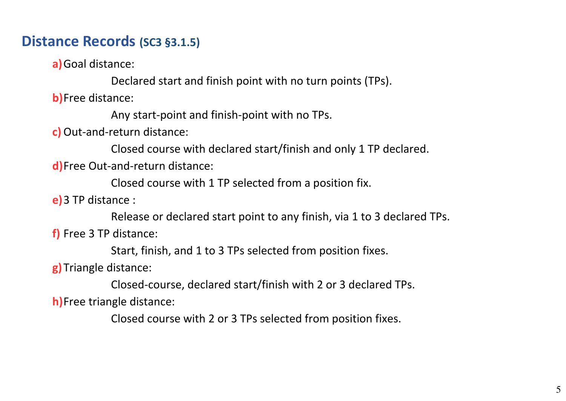# **Distance Records (SC3 §3.1.5)**

**a)**Goal distance:

Declared start and finish point with no turn points (TPs).

**b)**Free distance:

Any start-point and finish-point with no TPs.

**c)** Out-and-return distance:

Closed course with declared start/finish and only 1 TP declared.

**d)**Free Out-and-return distance:

Closed course with 1 TP selected from a position fix.

**e)**3 TP distance :

Release or declared start point to any finish, via 1 to 3 declared TPs.

**f)** Free 3 TP distance:

Start, finish, and 1 to 3 TPs selected from position fixes.

**g)**Triangle distance:

Closed-course, declared start/finish with 2 or 3 declared TPs. **h)**Free triangle distance:

Closed course with 2 or 3 TPs selected from position fixes.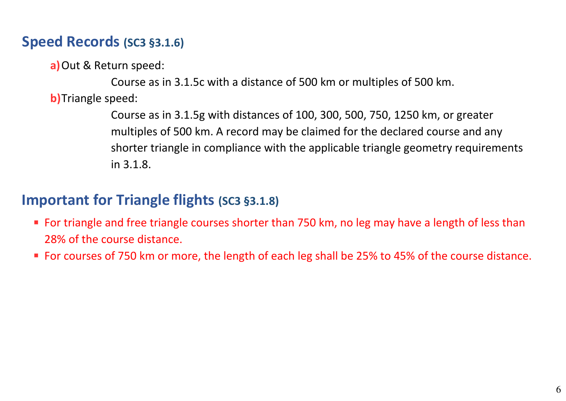#### **Speed Records (SC3 §3.1.6)**

**a)**Out & Return speed:

Course as in 3.1.5c with a distance of 500 km or multiples of 500 km. **b)**Triangle speed:

> Course as in 3.1.5g with distances of 100, 300, 500, 750, 1250 km, or greater multiples of 500 km. A record may be claimed for the declared course and any shorter triangle in compliance with the applicable triangle geometry requirements in 3.1.8.

#### **Important for Triangle flights (SC3 §3.1.8)**

- For triangle and free triangle courses shorter than 750 km, no leg may have a length of less than 28% of the course distance.
- For courses of 750 km or more, the length of each leg shall be 25% to 45% of the course distance.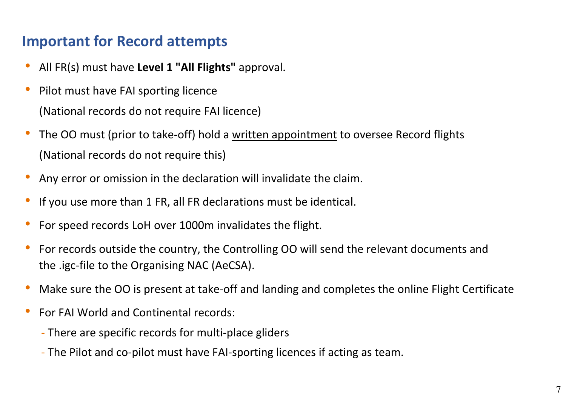## **Important for Record attempts**

- All FR(s) must have **Level 1 "All Flights"** approval.
- Pilot must have FAI sporting licence (National records do not require FAI licence)
- The OO must (prior to take-off) hold a written appointment to oversee Record flights (National records do not require this)
- Any error or omission in the declaration will invalidate the claim.
- If you use more than 1 FR, all FR declarations must be identical.
- For speed records LoH over 1000m invalidates the flight.
- For records outside the country, the Controlling OO will send the relevant documents and the .igc-file to the Organising NAC (AeCSA).
- Make sure the OO is present at take-off and landing and completes the online Flight Certificate
- For FAI World and Continental records:
	- There are specific records for multi-place gliders
	- The Pilot and co-pilot must have FAI-sporting licences if acting as team.